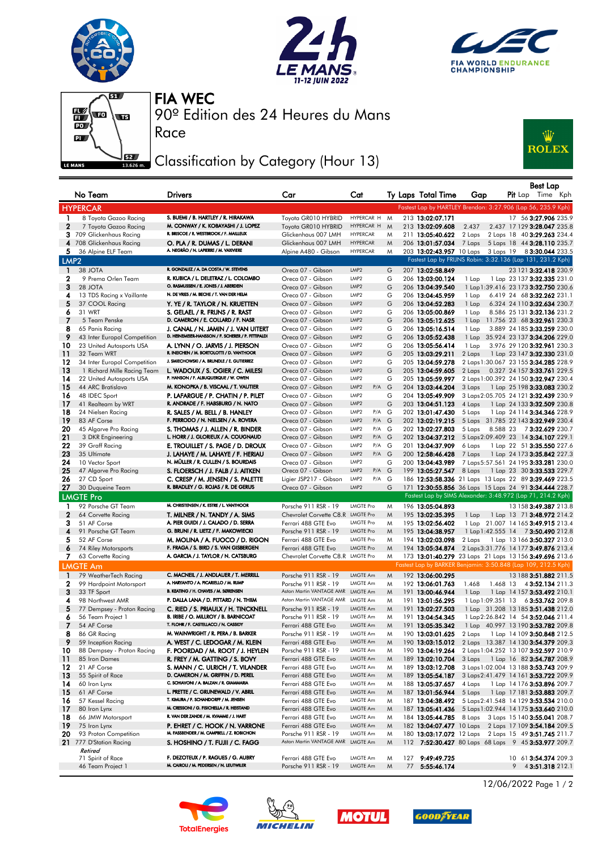







Race

90º Edition des 24 Heures du Mans FIA WEC

## Classification by Category (Hour 13)



|                  | No Team                                       | <b>Drivers</b>                                                                | Car                                                                    | Cat                                            |        | Ty Laps Total Time                                                        | Gap                                                                            |                                                           | Pit Lap Time Kph | Best Lap |                       |
|------------------|-----------------------------------------------|-------------------------------------------------------------------------------|------------------------------------------------------------------------|------------------------------------------------|--------|---------------------------------------------------------------------------|--------------------------------------------------------------------------------|-----------------------------------------------------------|------------------|----------|-----------------------|
|                  | <b>HYPERCAR</b>                               |                                                                               |                                                                        |                                                |        | Fastest Lap by HARTLEY Brendon: 3:27.906 (Lap 56, 235.9 Kph)              |                                                                                |                                                           |                  |          |                       |
| 1                | 8 Toyota Gazoo Racing                         | S. BUEMI / B. HARTLEY / R. HIRAKAWA                                           | Toyota GR010 HYBRID                                                    | HYPERCAR H                                     | M      | 213 13:02:07.171                                                          |                                                                                |                                                           |                  |          | 17 56 3:27.906 235.9  |
| $\mathbf{2}$     | 7 Toyota Gazoo Racing                         | M. CONWAY / K. KOBAYASHI / J. LOPEZ                                           | Toyota GR010 HYBRID                                                    | HYPERCAR H                                     | M      | 213 13:02:09.608                                                          | 2.437                                                                          | 2.437 17 129 3:28.047 235.8                               |                  |          |                       |
| 3                | 709 Glickenhaus Racing                        | R. BRISCOE / R. WESTBROOK / F. MAILLEUX                                       | Glickenhaus 007 LMH                                                    | <b>HYPERCAR</b>                                | M      | 211 13:05:40.622                                                          | 2 Laps                                                                         | 2 Laps 18 40 3:29.263 234.4                               |                  |          |                       |
|                  | 4 708 Glickenhaus Racing                      | O. PLA / R. DUMAS / L. DERANI                                                 | Glickenhaus 007 LMH                                                    | <b>HYPERCAR</b>                                | M      | 206 13:01:57.034                                                          | 7 Laps                                                                         | 5 Laps 18 44 <b>3:28.110</b> 235.7                        |                  |          |                       |
| 5.               | 36 Alpine ELF Team                            | A. NEGRÃO / N. LAPIERRE / M. VAXIVIERE                                        | Alpine A480 - Gibson                                                   | <b>HYPERCAR</b>                                | M      | 203 13:02:43.957 10 Laps 3 Laps 19 8 3:30.044 233.5                       |                                                                                |                                                           |                  |          |                       |
| LMP <sub>2</sub> |                                               |                                                                               |                                                                        |                                                |        | Fastest Lap by FRIJNS Robin: 3:32.136 (Lap 131, 231.2 Kph)                |                                                                                |                                                           |                  |          |                       |
| $\mathbf{1}$     | 38 JOTA                                       | R. GONZALEZ / A. DA COSTA / W. STEVENS                                        | Oreca 07 - Gibson                                                      | LMP2                                           | G      | 207 13:02:58.849                                                          |                                                                                |                                                           |                  |          | 23 121 3:32.418 230.9 |
| 2                | 9 Prema Orlen Team                            | R. KUBICA / L. DELETRAZ / L. COLOMBO<br>O. RASMUSSEN / E. JONES / J. ABERDEIN | Oreca 07 - Gibson                                                      | LMP2                                           | G      | 206 13:03:00.124                                                          | 1 Lap                                                                          | 1 Lap 23 137 3:32.335 231.0                               |                  |          |                       |
| 3<br>4           | 28 JOTA                                       | N. DE VRIES / M. BECHE / T. VAN DER HELM                                      | Oreca 07 - Gibson                                                      | LMP <sub>2</sub><br>LMP2                       | G<br>G | 206 13:04:39.540<br>206 13:04:45.959                                      | 1 Lap 1:39.416 23 173 3:32.750 230.6                                           |                                                           |                  |          |                       |
| 5                | 13 TDS Racing x Vaillante<br>37 COOL Racing   | Y. YE / R. TAYLOR / N. KRUETTEN                                               | Oreca 07 - Gibson<br>Oreca 07 - Gibson                                 | LMP <sub>2</sub>                               | G      | 206 13:04:52.283                                                          | 1 Lap<br>1 Lap                                                                 | 6.419 24 68 3:32.262 231.1<br>6.324 24 110 3:32.634 230.7 |                  |          |                       |
| 6                | 31 WRT                                        | S. GELAEL / R. FRIJNS / R. RAST                                               | Oreca 07 - Gibson                                                      | LMP2                                           | G      | 206 13:05:00.869                                                          | 1 Lap                                                                          | 8.586 25 131 3:32.136 231.2                               |                  |          |                       |
| 7                | 5 Team Penske                                 | D. CAMERON / E. COLLARD / F. NASR                                             | Oreca 07 - Gibson                                                      | LMP2                                           | G      | 206 13:05:12.625                                                          | 1 Lap                                                                          | 11.756 23 68 3:32.961 230.3                               |                  |          |                       |
| 8                | 65 Panis Racing                               | J. CANAL / N. JAMIN / J. VAN UITERT                                           | Oreca 07 - Gibson                                                      | LMP2                                           | G      | 206 13:05:16.514                                                          | 1 Lap                                                                          | 3.889 24 185 3:33.259 230.0                               |                  |          |                       |
| 9                | 43 Inter Europol Competition                  | D. HEINEMEIER-HANSSON / F. SCHERER / P. FITTIPALDI                            | Oreca 07 - Gibson                                                      | LMP2                                           | G      | 206 13:05:52.438                                                          | 1 Lap                                                                          | 35.924 23 137 3:34.206 229.0                              |                  |          |                       |
| 10               | 23 United Autosports USA                      | A. LYNN / O. JARVIS / J. PIERSON                                              | Oreca 07 - Gibson                                                      | LMP2                                           | G      | 206 13:05:56.414                                                          | 1 Lap                                                                          | 3.976 29 120 3:32.961 230.3                               |                  |          |                       |
| $\overline{11}$  | 32 Team WRT                                   | R. INEICHEN / M. BORTOLOTTI / D. VANTHOOR                                     | Oreca 07 - Gibson                                                      | LMP <sub>2</sub>                               | G      | 205 13:03:29.211                                                          | 2 Laps                                                                         | 1 Lap 23 147 3:32.330 231.0                               |                  |          |                       |
| 12               | 34 Inter Europol Competition                  | J. SMIECHOWSKI / A. BRUNDLE / E. GUTIERREZ                                    | Oreca 07 - Gibson                                                      | LMP <sub>2</sub>                               | G      | 205 13:04:59.278                                                          | 2 Laps 1:30.067 23 155 3:34.285 228.9                                          |                                                           |                  |          |                       |
| 13<br>14         | 1 Richard Mille Racing Team                   | L. WADOUX / S. OGIER / C. MILESI<br>P. HANSON / F. ALBUQUERQUE / W. OWEN      | Oreca 07 - Gibson                                                      | LMP <sub>2</sub><br>LMP2                       | G      | 205 13:04:59.605                                                          | 2 Laps                                                                         | 0.327 24 157 3:33.761 229.5                               |                  |          |                       |
| 15               | 22 United Autosports USA<br>44 ARC Bratislava | M. KONOPKA / B. VISCAAL / T. VAUTIER                                          | Oreca 07 - Gibson<br>Oreca 07 - Gibson                                 | LMP <sub>2</sub><br>P/A                        | G<br>G | 205 13:05:59.997<br>204 13:03:44.204                                      | 2 Laps 1:00.392 24 150 3:32.947 230.4<br>3 Laps                                |                                                           |                  |          |                       |
| 16               | 48 IDEC Sport                                 | P. LAFARGUE / P. CHATIN / P. PILET                                            | Oreca 07 - Gibson                                                      | LMP2                                           | G      | 204 13:05:49.909                                                          | 3 Laps 2:05.705 24 121 3:32.439 230.9                                          | 1 Lap 25 198 3:33.083 230.2                               |                  |          |                       |
| 17               | 41 Realteam by WRT                            | R. ANDRADE / F. HABSBURG / N. NATO                                            | Oreca 07 - Gibson                                                      | LMP <sub>2</sub>                               | G      | 203 13:04:51.123                                                          | 4 Laps                                                                         | 1 Lap 24 133 3:32.509 230.8                               |                  |          |                       |
| 18               | 24 Nielsen Racing                             | R. SALES / M. BELL / B. HANLEY                                                | Oreca 07 - Gibson                                                      | LMP2<br>P/A G                                  |        | 202 13:01:47.430                                                          | 5 Laps                                                                         | 1 Lap 24 114 3:34.346 228.9                               |                  |          |                       |
| -19              | 83 AF Corse                                   | F. PERRODO / N. NIELSEN / A. ROVERA                                           | Oreca 07 - Gibson                                                      | LMP <sub>2</sub><br>$P/A$ G                    |        | 202 13:02:19.215                                                          | 5 Laps 31.785 22 143 3:32.949 230.4                                            |                                                           |                  |          |                       |
| 20               | 45 Algarve Pro Racing                         | S. THOMAS / J. ALLEN / R. BINDER                                              | Oreca 07 - Gibson                                                      | LMP2<br>P/A G                                  |        | 202 13:02:27.803                                                          | 5 Laps                                                                         | 8.588 23 73:32.629 230.7                                  |                  |          |                       |
| 21               | 3 DKR Engineering                             | L. HORR / J. GLORIEUX / A. COUGNAUD                                           | Oreca 07 - Gibson                                                      | LMP <sub>2</sub><br>$P/A$ $G$                  |        | 202 13:04:37.212                                                          | 5 Laps 2:09.409 23 14 3:34.107 229.1                                           |                                                           |                  |          |                       |
| 22               | 39 Graff Racing                               | E. TROUILLET / S. PAGE / D. DROUX                                             | Oreca 07 - Gibson                                                      | LMP2<br>P/A G                                  |        | 201 13:04:37.909                                                          | 6 Laps                                                                         | 1 Lap 22 51 3:35.550 227.6                                |                  |          |                       |
| 23               | 35 Ultimate                                   | J. LAHAYE / M. LAHAYE / F. HERIAU                                             | Oreca 07 - Gibson                                                      | LMP <sub>2</sub><br>$P/A$ $G$                  |        | 200 12:58:46.428                                                          | 7 Laps                                                                         | 1 Lap 24 173 3:35.842 227.3                               |                  |          |                       |
| 24               | 10 Vector Sport                               | N. MÜLLER / R. CULLEN / S. BOURDAIS                                           | Oreca 07 - Gibson                                                      | LMP2                                           | G      | 200 13:04:43.989                                                          | 7 Laps 5:57.561 24 195 3:33.281 230.0                                          |                                                           |                  |          |                       |
| 25<br>26         | 47 Algarve Pro Racing<br>27 CD Sport          | S. FLOERSCH / J. FALB / J. AITKEN<br>C. CRESP / M. JENSEN / S. PALETTE        | Oreca 07 - Gibson<br>Ligier JSP217 - Gibson                            | LMP <sub>2</sub><br>$P/A$ $G$<br>LMP2<br>P/A G |        | 199 13:05:27.547<br>186 12:53:58.336 21 Laps 13 Laps 22 89 3:39.469 223.5 | 8 Laps                                                                         | 1 Lap 23 30 <b>3:33.533</b> 229.7                         |                  |          |                       |
| 27               | 30 Duqueine Team                              | R. BRADLEY / G. ROJAS / R. DE GERUS                                           | Oreca 07 - Gibson                                                      | LMP <sub>2</sub>                               | G      | 171 12:30:55.856 36 Laps 15 Laps 24 91 3:34.444 228.7                     |                                                                                |                                                           |                  |          |                       |
|                  | <b>LMGTE Pro</b>                              |                                                                               |                                                                        |                                                |        | Fastest Lap by SIMS Alexander: 3:48.972 (Lap 71, 214.2 Kph)               |                                                                                |                                                           |                  |          |                       |
| 1                | 92 Porsche GT Team                            | M. CHRISTENSEN / K. ESTRE / L. VANTHOOR                                       | Porsche 911 RSR - 19                                                   | <b>LMGTE Pro</b>                               | M      | 196 13:05:04.893                                                          |                                                                                |                                                           |                  |          | 13 158 3:49.387 213.8 |
| $\mathbf{2}$     | 64 Corvette Racing                            | T. MILNER / N. TANDY / A. SIMS                                                | Chevrolet Corvette C8.R                                                | LMGTE Pro                                      | M      | 195 13:02:35.395                                                          | 1 Lap 1 Lap 13 71 3:48.972 214.2                                               |                                                           |                  |          |                       |
| 3                | 51 AF Corse                                   | A. PIER GUIDI / J. CALADO / D. SERRA                                          | Ferrari 488 GTE Evo                                                    | <b>LMGTE Pro</b>                               | M      | 195 13:02:56.402                                                          | 1 Lap 21.007 14 165 3:49.915 213.4                                             |                                                           |                  |          |                       |
| 4                | 91 Porsche GT Team                            | G. BRUNI / R. LIETZ / F. MAKOWIECKI                                           | Porsche 911 RSR - 19                                                   | <b>LMGTE Pro</b>                               | M      | 195 13:04:38.957                                                          | 1 Lap 1:42.555 14 7 3:50.490 212.8                                             |                                                           |                  |          |                       |
| 5                | 52 AF Corse                                   | M. MOLINA / A. FUOCO / D. RIGON                                               | Ferrari 488 GTE Evo                                                    | <b>LMGTE Pro</b>                               | M      | 194 13:02:03.098                                                          | 2 Laps                                                                         | 1 Lap 13 166 <b>3:50.327</b> 213.0                        |                  |          |                       |
| 6                | 74 Riley Motorsports                          | F. FRAGA / S. BIRD / S. VAN GISBERGEN                                         | Ferrari 488 GTE Evo                                                    | <b>LMGTE Pro</b>                               | M      | 194 13:05:34.874                                                          | 2 Laps 3:31.776 14 177 3:49.876 213.4                                          |                                                           |                  |          |                       |
| 7.               | 63 Corvette Racing                            | A. GARCIA / J. TAYLOR / N. CATSBURG                                           | Chevrolet Corvette C8.R LMGTE Pro                                      |                                                | M      | 173 13:01:40.279 23 Laps 21 Laps 13 156 3:49.696 213.6                    |                                                                                |                                                           |                  |          |                       |
|                  | <b>LMGTE Am</b>                               |                                                                               |                                                                        |                                                |        | Fastest Lap by BARKER Benjamin: 3:50.848 (Lap 109, 212.5 Kph)             |                                                                                |                                                           |                  |          |                       |
| -1               | 79 WeatherTech Racing                         | C. MACNEIL / J. ANDLAUER / T. MERRILL                                         | Porsche 911 RSR - 19                                                   | LMGTE Am                                       | M      | 192 13:06:00.295                                                          |                                                                                |                                                           |                  |          | 13 188 3:51.882 211.5 |
| 2                | 99 Hardpoint Motorsport                       | A. HARYANTO / A. PICARIELLO / M. RUMP<br>B. KEATING / H. CHAVES / M. SØRENSEN | Porsche 911 RSR - 19                                                   | LMGTE Am                                       | M      | 192 13:06:01.763                                                          | 1.468                                                                          | 1.468 13                                                  |                  |          | 4 3:52.134 211.3      |
| 3<br>4           | 33 TF Sport<br>98 Northwest AMR               | P. DALLA LANA / D. PITTARD / N. THIIM                                         | Aston Martin VANTAGE AMR LMGTE Am<br>Aston Martin VANTAGE AMR LMGTE Am |                                                | M<br>M | 191 13:00:46.944<br>191 13:01:56.295                                      | 1 Lap<br>1 Lap 1:09.351 13 6 3:53.762 209.8                                    | 1 Lap 14 157 3:53.492 210.1                               |                  |          |                       |
| 5                | 77 Dempsey - Proton Racing                    | C. RIED / S. PRIAULX / H. TINCKNELL                                           | Porsche 911 RSR - 19                                                   | LMGTE Am                                       | M      | 191 13:02:27.503                                                          | 1 Lap 31.208 13 185 3:51.438 212.0                                             |                                                           |                  |          |                       |
| 6                | 56 Team Project 1                             | B. IRIBE / O. MILLROY / B. BARNICOAT                                          | Porsche 911 RSR - 19                                                   | LMGTE Am                                       | M      | 191 13:04:54.345                                                          | 1 Lap 2:26.842 14 54 3:52.046 211.4                                            |                                                           |                  |          |                       |
|                  | 54 AF Corse                                   | T. FLOHR / F. CASTELLACCI / N. CASSIDY                                        | Ferrari 488 GTE Evo                                                    | LMGTE Am                                       | Μ      | 191 13:05:35.342                                                          | 1 Lap 40.997 13 190 3:53.782 209.8                                             |                                                           |                  |          |                       |
| 8                | 86 GR Racing                                  | M. WAINWRIGHT / R. PERA / B. BARKER                                           | Porsche 911 RSR - 19                                                   | LMGTE Am                                       | M      | 190 13:03:01.625                                                          | 2 Laps 1 Lap 14 109 3:50.848 212.5                                             |                                                           |                  |          |                       |
| 9                | 59 Inception Racing                           | A. WEST / C. LEDOGAR / M. KLEIN                                               | Ferrari 488 GTE Evo                                                    | LMGTE Am                                       | M      | 190 13:03:15.012                                                          | 2 Laps 13.387 14 130 3:54.379 209.3                                            |                                                           |                  |          |                       |
| 10               | 88 Dempsey - Proton Racing                    | F. POORDAD / M. ROOT / J. HEYLEN                                              | Porsche 911 RSR - 19                                                   | LMGTE Am                                       | M      | 190 13:04:19.264                                                          | 2 Laps 1:04.252 13 107 3:52.597 210.9                                          |                                                           |                  |          |                       |
| $\frac{11}{11}$  | 85 Iron Dames                                 | R. FREY / M. GATTING / S. BOVY                                                | Ferrari 488 GTE Evo                                                    | LMGTE Am                                       | M      | 189 13:02:10.704                                                          | 3 Laps 1 Lap 16 82 3:54.787 208.9                                              |                                                           |                  |          |                       |
| 12<br>13         | 21 AF Corse<br>55 Spirit of Race              | S. MANN / C. ULRICH / T. VILANDER<br>D. CAMERON / M. GRIFFIN / D. PEREL       | Ferrari 488 GTE Evo<br>Ferrari 488 GTE Evo                             | LMGTE Am<br>LMGTE Am                           | M<br>M | 189 13:03:12.708<br>189 13:05:54.187                                      | 3 Laps 1:02.004 13 188 3:53.743 209.9<br>3 Laps 2:41.479 14 161 3:53.722 209.9 |                                                           |                  |          |                       |
| 14               | 60 Iron Lynx                                  | C. SCHIAVONI / A. BALZAN / R. GIAMMARIA                                       | Ferrari 488 GTE Evo                                                    | LMGTE Am                                       | M      | 188 13:05:37.657                                                          | 4 Laps                                                                         | 1 Lap 14 176 <b>3:53.896</b> 209.7                        |                  |          |                       |
| -15              | 61 AF Corse                                   | L. PRETTE / C. GRUNEWALD / V. ABRIL                                           | Ferrari 488 GTE Evo                                                    | LMGTE Am                                       | M      | 187 13:01:56.944                                                          | 5 Laps                                                                         | 1 Lap 17 181 3:53.883 209.7                               |                  |          |                       |
| 16               | 57 Kessel Racing                              | T. KIMURA / F. SCHANDORFF / M. JENSEN                                         | Ferrari 488 GTE Evo                                                    | LMGTE Am                                       | M      | 187 13:04:38.492                                                          | 5 Laps 2:41.548 14 129 3:53.534 210.0                                          |                                                           |                  |          |                       |
| -17              | 80 Iron Lynx                                  | M. CRESSONI / G. FISICHELLA / R. HEISTAND                                     | Ferrari 488 GTE Evo                                                    | LMGTE Am                                       | M      | 187 13:05:41.436                                                          | 5 Laps 1:02.944 14 175 3:53.640 210.0                                          |                                                           |                  |          |                       |
| 18               | 66 JMW Motorsport                             | R. VAN DER ZANDE / M. KVAMME / J. HART                                        | Ferrari 488 GTE Evo                                                    | LMGTE Am                                       | M      | 184 13:05:44.785                                                          | 8 Laps 3 Laps 15 140 3:55.041 208.7                                            |                                                           |                  |          |                       |
| -19              | 75 Iron Lynx                                  | P. EHRET / C. HOOK / N. VARRONE                                               | Ferrari 488 GTE Evo                                                    | LMGTE Am                                       | M      | 182 13:04:07.477 10 Laps 2 Laps 17 109 3:54.184 209.5                     |                                                                                |                                                           |                  |          |                       |
| 20               | 93 Proton Competition                         | M. FASSBENDER / M. CAMPBELL / Z. ROBICHON                                     | Porsche 911 RSR - 19                                                   | LMGTE Am                                       | M      | 180 13:03:17.072 12 Laps 2 Laps 15 49 3:51.745 211.7                      |                                                                                |                                                           |                  |          |                       |
|                  | 21 777 D'Station Racing                       | S. HOSHINO / T. FUJII / C. FAGG                                               | Aston Martin VANTAGE AMR LMGTE Am                                      |                                                | M      | 112 7:52:30.427 80 Laps 68 Laps 9 45 3:53.977 209.7                       |                                                                                |                                                           |                  |          |                       |
|                  | Retired<br>71 Spirit of Race                  | F. DEZOTEUX / P. RAGUES / G. AUBRY                                            | Ferrari 488 GTE Evo                                                    | LMGTE Am                                       | M      | 127 9:49:49.725                                                           |                                                                                |                                                           |                  |          | 10 61 3:54.374 209.3  |
|                  | 46 Team Project 1                             | M. CAIROLI / M. PEDERSEN / N. LEUTWILER                                       | Porsche 911 RSR - 19                                                   | LMGTE Am                                       | M      | 77 5:55:46.174                                                            |                                                                                |                                                           |                  |          | $9$ 4 3:51.318 212.1  |









12/06/2022 Page 1 / 2